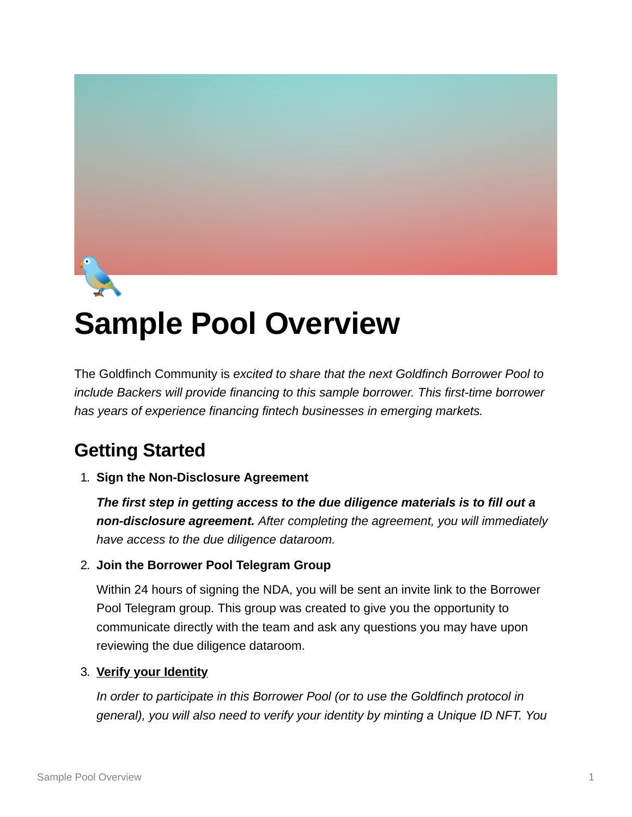

# **Sample Pool Overview**

The Goldfinch Community is *excited to share that the next Goldfinch Borrower Pool to include Backers will provide financing to this sample borrower. This first-time borrower has years of experience financing fintech businesses in emerging markets.*

## **Getting Started**

### 1. **Sign the Non-Disclosure Agreement**

*The first step in getting access to the due diligence materials is to fill out a non-disclosure agreement. After completing the agreement, you will immediately have access to the due diligence dataroom.*

### 2. **Join the Borrower Pool Telegram Group**

Within 24 hours of signing the NDA, you will be sent an invite link to the Borrower Pool Telegram group. This group was created to give you the opportunity to communicate directly with the team and ask any questions you may have upon reviewing the due diligence dataroom.

### 3. **[Verify your Identity](https://app.goldfinch.finance/verify)**

*In order to participate in this Borrower Pool (or to use the Goldfinch protocol in general), you will also need to verify your identity by minting a Unique ID NFT. You*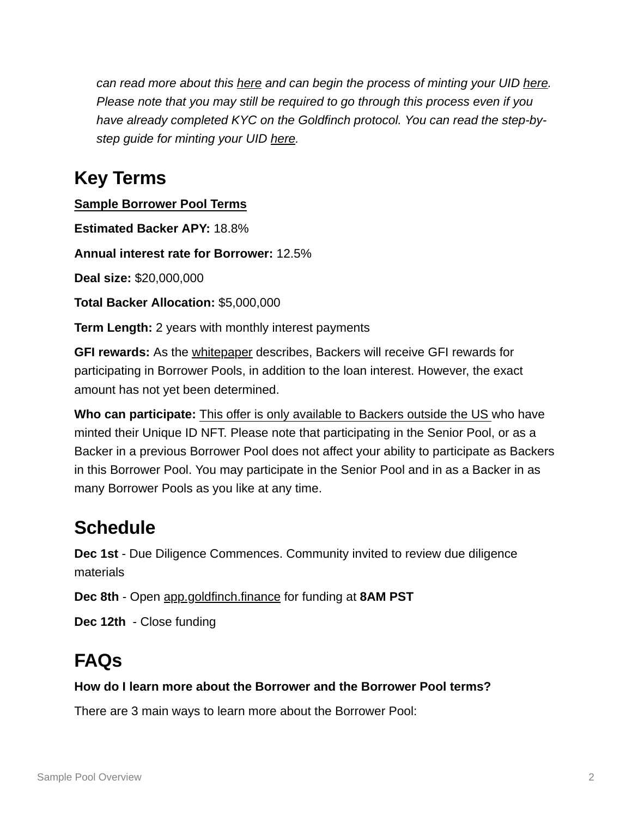*can read more about this [here](https://medium.com/goldfinch-fi/introducing-unique-identity-uid-the-first-nft-for-kyc-830a89207509) and can begin the process of minting your UID [here](https://app.goldfinch.finance/verify). Please note that you may still be required to go through this process even if you have already completed KYC on the Goldfinch protocol. You can read the step-bystep guide for minting your UID [here](https://docs.goldfinch.finance/goldfinch/unique-identity-uid/for-users).*

### **Key Terms**

**Sample Borrower Pool Terms**

**Estimated Backer APY:** 18.8%

**Annual interest rate for Borrower:** 12.5%

**Deal size:** \$20,000,000

**Total Backer Allocation:** \$5,000,000

**Term Length:** 2 years with monthly interest payments

**GFI rewards:** As the [whitepaper](https://goldfinch.finance/goldfinch_whitepaper.pdf) describes, Backers will receive GFI rewards for participating in Borrower Pools, in addition to the loan interest. However, the exact amount has not yet been determined.

**Who can participate:** This offer is only available to Backers outside the US who have minted their Unique ID NFT. Please note that participating in the Senior Pool, or as a Backer in a previous Borrower Pool does not affect your ability to participate as Backers in this Borrower Pool. You may participate in the Senior Pool and in as a Backer in as many Borrower Pools as you like at any time.

### **Schedule**

**Dec 1st** - Due Diligence Commences. Community invited to review due diligence materials

**Dec 8th** - Open [app.goldfinch.finance](https://app.goldfinch.finance/) for funding at **8AM PST**

**Dec 12th** - Close funding

# **FAQs**

### **How do I learn more about the Borrower and the Borrower Pool terms?**

There are 3 main ways to learn more about the Borrower Pool: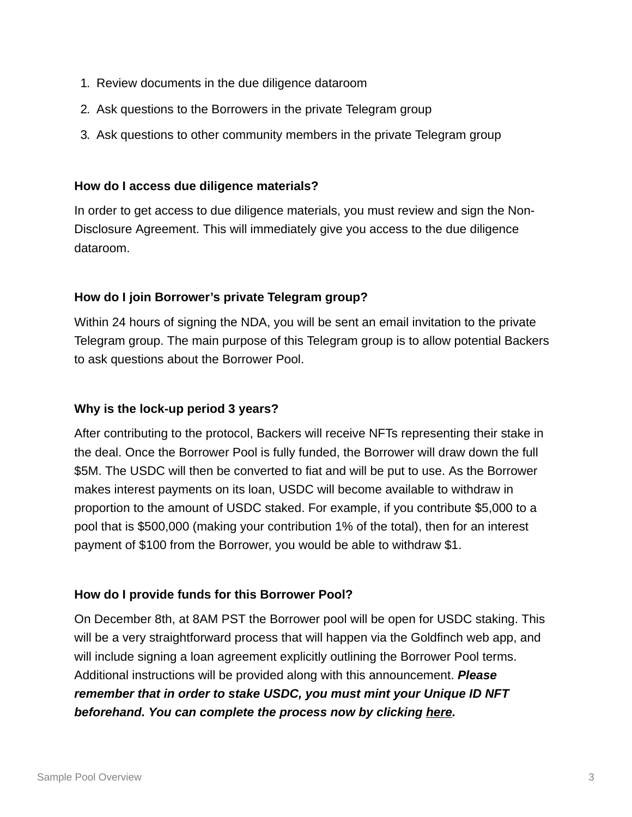- 1. Review documents in the due diligence dataroom
- 2. Ask questions to the Borrowers in the private Telegram group
- 3. Ask questions to other community members in the private Telegram group

### **How do I access due diligence materials?**

In order to get access to due diligence materials, you must review and sign the Non-Disclosure Agreement. This will immediately give you access to the due diligence dataroom.

### **How do I join Borrower's private Telegram group?**

Within 24 hours of signing the NDA, you will be sent an email invitation to the private Telegram group. The main purpose of this Telegram group is to allow potential Backers to ask questions about the Borrower Pool.

### **Why is the lock-up period 3 years?**

After contributing to the protocol, Backers will receive NFTs representing their stake in the deal. Once the Borrower Pool is fully funded, the Borrower will draw down the full \$5M. The USDC will then be converted to fiat and will be put to use. As the Borrower makes interest payments on its loan, USDC will become available to withdraw in proportion to the amount of USDC staked. For example, if you contribute \$5,000 to a pool that is \$500,000 (making your contribution 1% of the total), then for an interest payment of \$100 from the Borrower, you would be able to withdraw \$1.

### **How do I provide funds for this Borrower Pool?**

On December 8th, at 8AM PST the Borrower pool will be open for USDC staking. This will be a very straightforward process that will happen via the Goldfinch web app, and will include signing a loan agreement explicitly outlining the Borrower Pool terms. Additional instructions will be provided along with this announcement. *Please remember that in order to stake USDC, you must mint your Unique ID NFT beforehand. You can complete the process now by clicking [here](https://app.goldfinch.finance/verify).*